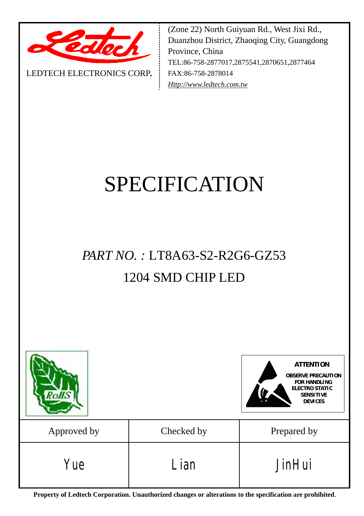

LEDTECH ELECTRONICS CORP**.**

(Zone 22) North Guiyuan Rd., West Jixi Rd., Duanzhou District, Zhaoqing City, Guangdong Province, China TEL:86-758-2877017,2875541,2870651,2877464 FAX:86-758-2878014 *[Http://www.ledtech.com.tw](http://www.ledtech.com.tw)*

# SPECIFICATION

## *PART NO. :* LT8A63-S2-R2G6-GZ53 1204 SMD CHIP LED



**Property of Ledtech Corporation. Unauthorized changes or alterations to the specification are prohibited***.*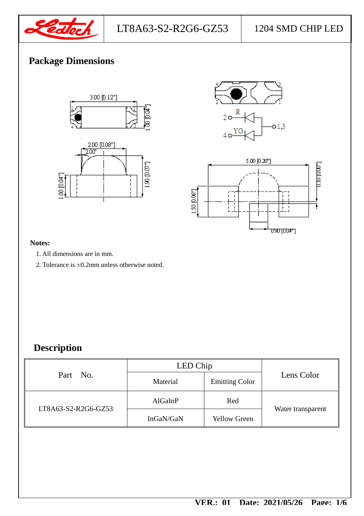

#### LT8A63-S2-R2G6-GZ53 | 1204 SMD CHIP LED

#### **Package Dimensions**







#### **Notes:**

- 1. All dimensions are in mm.
- 2. Tolerance is ±0.2mm unless otherwise noted.

### **Description**

| Part No.            | LED Chip  |                       |                   |
|---------------------|-----------|-----------------------|-------------------|
|                     | Material  | <b>Emitting Color</b> | Lens Color        |
| LT8A63-S2-R2G6-GZ53 | AlGaInP   | Red                   |                   |
|                     | InGaN/GaN | <b>Yellow Green</b>   | Water transparent |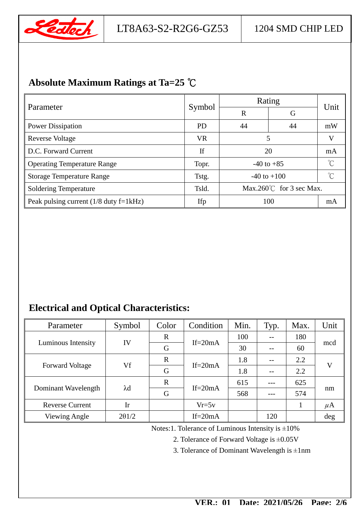

#### **Absolute Maximum Ratings at Ta=25 ℃**

| Parameter                                | Symbol          | Rating                             | Unit |              |
|------------------------------------------|-----------------|------------------------------------|------|--------------|
|                                          |                 | R                                  | G    |              |
| <b>Power Dissipation</b>                 | PD <sub>1</sub> | 44                                 | 44   | mW           |
| Reverse Voltage                          | <b>VR</b>       | 5                                  |      | V            |
| D.C. Forward Current                     | If              | 20                                 |      | mA           |
| <b>Operating Temperature Range</b>       | Topr.           | $-40$ to $+85$                     |      |              |
| <b>Storage Temperature Range</b>         | Tstg.           | $-40$ to $+100$                    |      | $^{\circ}$ C |
| <b>Soldering Temperature</b>             | Tsld.           | Max.260 $\degree$ C for 3 sec Max. |      |              |
| Peak pulsing current $(1/8$ duty f=1kHz) | Ifp             | 100                                |      | mA           |

#### **Electrical and Optical Characteristics:**

| Parameter              | Symbol        | Color       | Condition   | Min. | Typ. | Max. | Unit    |
|------------------------|---------------|-------------|-------------|------|------|------|---------|
| Luminous Intensity     | IV            | $\mathbf R$ | $If = 20mA$ | 100  |      | 180  | mcd     |
|                        |               | G           |             | 30   |      | 60   |         |
| <b>Forward Voltage</b> | Vf            | $\mathbf R$ | $If = 20mA$ | 1.8  |      | 2.2  | V       |
|                        |               | G           |             | 1.8  |      | 2.2  |         |
| Dominant Wavelength    | $\lambda$ d   | $\mathbf R$ | $If = 20mA$ | 615  |      | 625  | nm      |
|                        |               | G           |             | 568  |      | 574  |         |
| <b>Reverse Current</b> | Ir            |             | $Vr=5v$     |      |      |      | $\mu$ A |
| Viewing Angle          | $2\theta$ 1/2 |             | $If = 20mA$ |      | 120  |      | deg     |

Notes:1. Tolerance of Luminous Intensity is ±10%

2. Tolerance of Forward Voltage is ±0.05V

3. Tolerance of Dominant Wavelength is  $\pm 1$ nm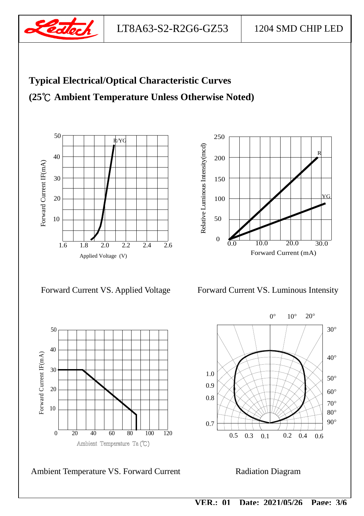

**Typical Electrical/Optical Characteristic Curves (25℃ Ambient Temperature Unless Otherwise Noted)** 





Forward Current VS. Applied Voltage Forward Current VS. Luminous Intensity





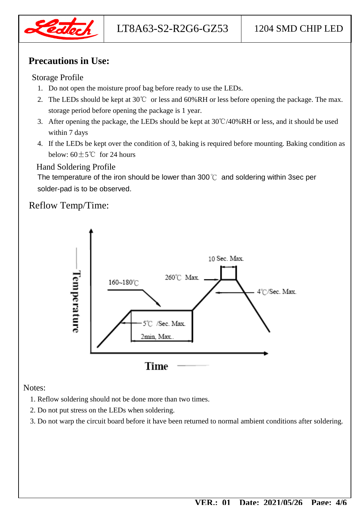

LT8A63-S2-R2G6-GZ53  $|$  1204 SMD CHIP LED

#### **Precautions in Use:**

#### Storage Profile

- 1. Do not open the moisture proof bag before ready to use the LEDs.
- 2. The LEDs should be kept at 30℃ or less and 60%RH or less before opening the package. The max. storage period before opening the package is 1 year.
- 3. After opening the package, the LEDs should be kept at 30℃/40%RH or less, and it should be used within 7 days
- 4. If the LEDs be kept over the condition of 3, baking is required before mounting. Baking condition as below:  $60 \pm 5^{\circ}$  for 24 hours

#### Hand Soldering Profile

The temperature of the iron should be lower than 300℃ and soldering within 3sec per solder-pad is to be observed.

#### Reflow Temp/Time:



Notes:

- 1. Reflow soldering should not be done more than two times.
- 2. Do not put stress on the LEDs when soldering.
- 3. Do not warp the circuit board before it have been returned to normal ambient conditions after soldering.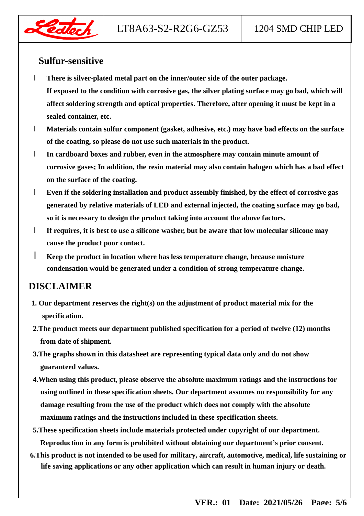

#### **Sulfur-sensitive**

- l **There is silver-plated metal part on the inner/outer side of the outer package. If exposed to the condition with corrosive gas, the silver plating surface may go bad, which will affect soldering strength and optical properties. Therefore, after opening it must be kept in a sealed container, etc.**
- l **Materials contain sulfur component (gasket, adhesive, etc.) may have bad effects on the surface of the coating, so please do not use such materials in the product.**
- l **In cardboard boxes and rubber, even in the atmosphere may contain minute amount of corrosive gases; In addition, the resin material may also contain halogen which has a bad effect on the surface of the coating.**
- l **Even if the soldering installation and product assembly finished, by the effect of corrosive gas generated by relative materials of LED and external injected, the coating surface may go bad, so it is necessary to design the product taking into account the above factors.**
- l **If requires, it is best to use a silicone washer, but be aware that low molecular silicone may cause the product poor contact.**
- l **Keep the product in location where has less temperature change, because moisture condensation would be generated under a condition of strong temperature change.**

#### **DISCLAIMER**

- **1. Our department reserves the right(s) on the adjustment of product material mix for the specification.**
- **2.The product meets our department published specification for a period of twelve (12) months from date of shipment.**
- **3.The graphs shown in this datasheet are representing typical data only and do not show guaranteed values.**
- **4.When using this product, please observe the absolute maximum ratings and the instructions for using outlined in these specification sheets. Our department assumes no responsibility for any damage resulting from the use of the product which does not comply with the absolute maximum ratings and the instructions included in these specification sheets.**
- **5.These specification sheets include materials protected under copyright of our department. Reproduction in any form is prohibited without obtaining our department's prior consent.**
- **6.This product is not intended to be used for military, aircraft, automotive, medical, life sustaining or life saving applications or any other application which can result in human injury or death.**